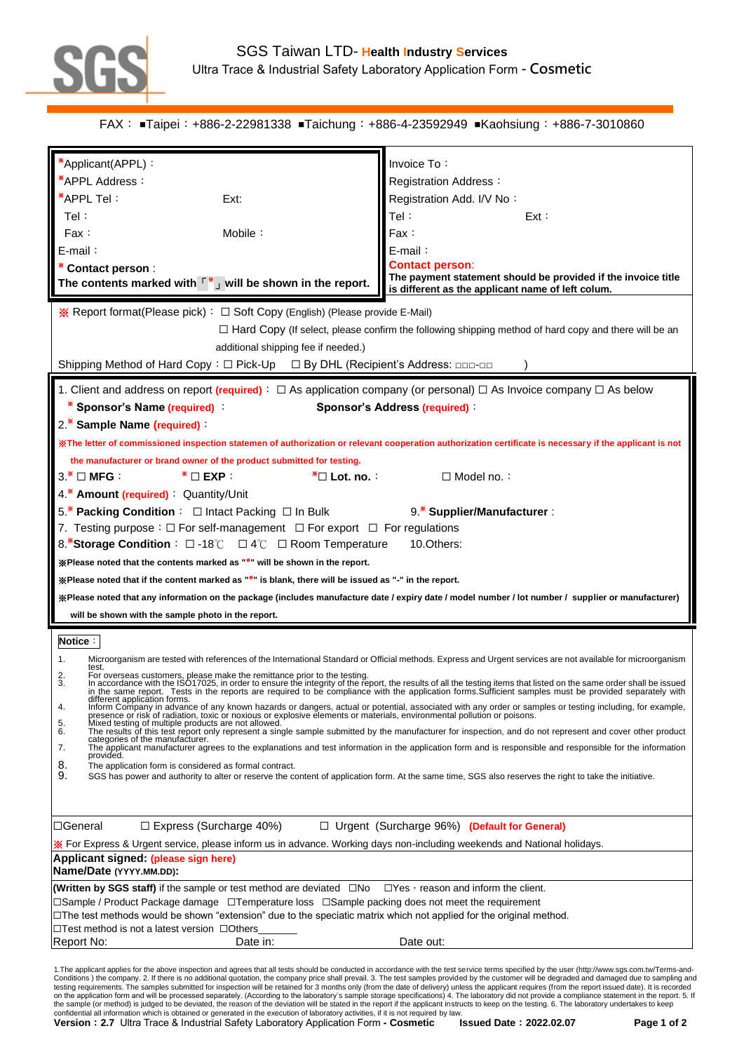

FAX: ■Taipei:+886-2-22981338 ■Taichung:+886-4-23592949 ■Kaohsiung:+886-7-3010860

| *Applicant(APPL):                                                                                                                                                                                                                                                                                                                                                                                                                                       | Invoice To:                                                                                                        |  |
|---------------------------------------------------------------------------------------------------------------------------------------------------------------------------------------------------------------------------------------------------------------------------------------------------------------------------------------------------------------------------------------------------------------------------------------------------------|--------------------------------------------------------------------------------------------------------------------|--|
| *APPL Address:                                                                                                                                                                                                                                                                                                                                                                                                                                          | <b>Registration Address:</b>                                                                                       |  |
| *APPL Tel:<br>Ext:                                                                                                                                                                                                                                                                                                                                                                                                                                      | Registration Add. I/V No:                                                                                          |  |
| Tel :                                                                                                                                                                                                                                                                                                                                                                                                                                                   | Tel ∶<br>Ext:                                                                                                      |  |
| Mobile:<br>Fax:                                                                                                                                                                                                                                                                                                                                                                                                                                         | Fax :                                                                                                              |  |
| E-mail:                                                                                                                                                                                                                                                                                                                                                                                                                                                 | E-mail:                                                                                                            |  |
| Contact person:                                                                                                                                                                                                                                                                                                                                                                                                                                         | Contact person:                                                                                                    |  |
| The contents marked with $\sqrt{m}$ , will be shown in the report.                                                                                                                                                                                                                                                                                                                                                                                      | The payment statement should be provided if the invoice title<br>is different as the applicant name of left colum. |  |
|                                                                                                                                                                                                                                                                                                                                                                                                                                                         |                                                                                                                    |  |
| $\mathcal{K}$ Report format(Please pick): $\Box$ Soft Copy (English) (Please provide E-Mail)                                                                                                                                                                                                                                                                                                                                                            |                                                                                                                    |  |
|                                                                                                                                                                                                                                                                                                                                                                                                                                                         | $\Box$ Hard Copy (If select, please confirm the following shipping method of hard copy and there will be an        |  |
| additional shipping fee if needed.)                                                                                                                                                                                                                                                                                                                                                                                                                     |                                                                                                                    |  |
| Shipping Method of Hard Copy: □ Pick-Up □ By DHL (Recipient's Address: □□□-□□                                                                                                                                                                                                                                                                                                                                                                           |                                                                                                                    |  |
| 1. Client and address on report (required) : $\Box$ As application company (or personal) $\Box$ As Invoice company $\Box$ As below                                                                                                                                                                                                                                                                                                                      |                                                                                                                    |  |
| * Sponsor's Name (required)                                                                                                                                                                                                                                                                                                                                                                                                                             | <b>Sponsor's Address (required)</b>                                                                                |  |
| 2.* Sample Name (required)                                                                                                                                                                                                                                                                                                                                                                                                                              |                                                                                                                    |  |
| XThe letter of commissioned inspection statemen of authorization or relevant cooperation authorization certificate is necessary if the applicant is not                                                                                                                                                                                                                                                                                                 |                                                                                                                    |  |
| the manufacturer or brand owner of the product submitted for testing.                                                                                                                                                                                                                                                                                                                                                                                   |                                                                                                                    |  |
| 3. <sup>*</sup> □ MFG:<br>$\overline{\phantom{a}}$ $\square$ exp :<br>*⊡ Lot. no. ∶                                                                                                                                                                                                                                                                                                                                                                     | $\Box$ Model no.:                                                                                                  |  |
| 4. <sup>*</sup> Amount (required) Quantity/Unit                                                                                                                                                                                                                                                                                                                                                                                                         |                                                                                                                    |  |
| 5.* Packing Condition: $\Box$ Intact Packing $\Box$ In Bulk                                                                                                                                                                                                                                                                                                                                                                                             | 9.* Supplier/Manufacturer :                                                                                        |  |
| 7. Testing purpose: $\Box$ For self-management $\Box$ For export $\Box$ For regulations                                                                                                                                                                                                                                                                                                                                                                 |                                                                                                                    |  |
| 8. *Storage Condition: □-18℃ □ 4℃ □ Room Temperature                                                                                                                                                                                                                                                                                                                                                                                                    | 10.Others:                                                                                                         |  |
| ※ Please noted that the contents marked as "*" will be shown in the report.                                                                                                                                                                                                                                                                                                                                                                             |                                                                                                                    |  |
| ※Please noted that if the content marked as "*" is blank, there will be issued as "-" in the report.                                                                                                                                                                                                                                                                                                                                                    |                                                                                                                    |  |
| ※Please noted that any information on the package (includes manufacture date / expiry date / model number / lot number / supplier or manufacturer)                                                                                                                                                                                                                                                                                                      |                                                                                                                    |  |
| will be shown with the sample photo in the report.                                                                                                                                                                                                                                                                                                                                                                                                      |                                                                                                                    |  |
| Notice:                                                                                                                                                                                                                                                                                                                                                                                                                                                 |                                                                                                                    |  |
| 1.                                                                                                                                                                                                                                                                                                                                                                                                                                                      |                                                                                                                    |  |
| Microorganism are tested with references of the International Standard or Official methods. Express and Urgent services are not available for microorganism                                                                                                                                                                                                                                                                                             |                                                                                                                    |  |
| 2.<br>3.<br>For overseas customers, please make the remittance prior to the testing.<br>In accordance with the ISO17025, in order to ensure the integrity of the report, the results of all the testing items that listed on the same order s                                                                                                                                                                                                           |                                                                                                                    |  |
| different application forms.<br>4.                                                                                                                                                                                                                                                                                                                                                                                                                      |                                                                                                                    |  |
| Inform Company in advance of any known hazards or dangers, actual or potential, associated with any order or samples or testing including, for example, presence or risk of radiation, toxic or noxious or explosive elements<br>Mixed testing of multiple products are not allowed.<br>The results of this test report only represent a single sample submitted by the manufacturer for inspection, and do not represent and cover other product<br>5. |                                                                                                                    |  |
| 6.<br>categories of the manufacturer.                                                                                                                                                                                                                                                                                                                                                                                                                   |                                                                                                                    |  |
| The applicant manufacturer agrees to the explanations and test information in the application form and is responsible and responsible for the information<br>7.<br>provided.                                                                                                                                                                                                                                                                            |                                                                                                                    |  |
| 8.<br>The application form is considered as formal contract.<br>9.<br>SGS has power and authority to alter or reserve the content of application form. At the same time, SGS also reserves the right to take the initiative.                                                                                                                                                                                                                            |                                                                                                                    |  |
|                                                                                                                                                                                                                                                                                                                                                                                                                                                         |                                                                                                                    |  |
|                                                                                                                                                                                                                                                                                                                                                                                                                                                         |                                                                                                                    |  |
| □General<br>$\Box$ Express (Surcharge 40%)                                                                                                                                                                                                                                                                                                                                                                                                              | $\Box$ Urgent (Surcharge 96%) (Default for General)                                                                |  |
| ※ For Express & Urgent service, please inform us in advance. Working days non-including weekends and National holidays.                                                                                                                                                                                                                                                                                                                                 |                                                                                                                    |  |
| Applicant signed: (please sign here)<br>Name/Date (YYYY.MM.DD):                                                                                                                                                                                                                                                                                                                                                                                         |                                                                                                                    |  |
| <b>(Written by SGS staff)</b> if the sample or test method are deviated $\Box$ No $\Box$ Yes, reason and inform the client.                                                                                                                                                                                                                                                                                                                             |                                                                                                                    |  |
| □Sample / Product Package damage □Temperature loss □Sample packing does not meet the requirement                                                                                                                                                                                                                                                                                                                                                        |                                                                                                                    |  |
| □The test methods would be shown "extension" due to the speciatic matrix which not applied for the original method.                                                                                                                                                                                                                                                                                                                                     |                                                                                                                    |  |
| □Test method is not a latest version □Others<br>Report No:<br>Date in:                                                                                                                                                                                                                                                                                                                                                                                  | Date out:                                                                                                          |  |
|                                                                                                                                                                                                                                                                                                                                                                                                                                                         |                                                                                                                    |  |

1. The applicant applies for the above inspection and agrees that all tests should be conducted in accordance with the test service terms specified by the user (http://www.sgs.com.tw/Terms-and-Conditions) the conductions)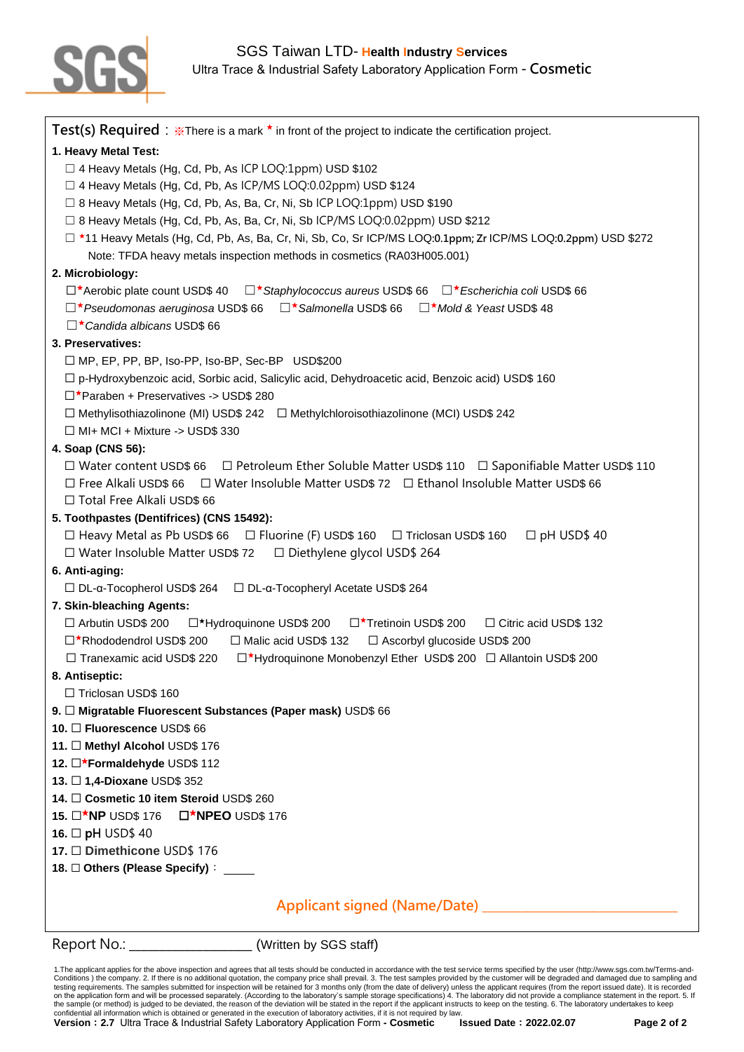

| Test(s) Required : $\frac{1}{2}$ There is a mark $\star$ in front of the project to indicate the certification project.            |
|------------------------------------------------------------------------------------------------------------------------------------|
| 1. Heavy Metal Test:                                                                                                               |
| □ 4 Heavy Metals (Hg, Cd, Pb, As ICP LOQ:1ppm) USD \$102                                                                           |
| □ 4 Heavy Metals (Hg, Cd, Pb, As ICP/MS LOQ:0.02ppm) USD \$124                                                                     |
| □ 8 Heavy Metals (Hg, Cd, Pb, As, Ba, Cr, Ni, Sb ICP LOQ:1ppm) USD \$190                                                           |
| □ 8 Heavy Metals (Hg, Cd, Pb, As, Ba, Cr, Ni, Sb ICP/MS LOQ:0.02ppm) USD \$212                                                     |
| □ *11 Heavy Metals (Hg, Cd, Pb, As, Ba, Cr, Ni, Sb, Co, Sr ICP/MS LOQ:0.1ppm; Zr ICP/MS LOQ:0.2ppm) USD \$272                      |
| Note: TFDA heavy metals inspection methods in cosmetics (RA03H005.001)                                                             |
| 2. Microbiology:                                                                                                                   |
| □ <sup>★</sup> Aerobic plate count USD\$ 40<br>□ <sup>★</sup> Staphylococcus aureus USD\$ 66   □ <b>*Escherichia coli USD\$ 66</b> |
| □★Pseudomonas aeruginosa USD\$ 66  □★Salmonella USD\$ 66   □★Mold & Yeast USD\$ 48                                                 |
| □ <sup>★</sup> Candida albicans USD\$ 66                                                                                           |
| 3. Preservatives:                                                                                                                  |
| □ MP, EP, PP, BP, Iso-PP, Iso-BP, Sec-BP USD\$200                                                                                  |
| □ p-Hydroxybenzoic acid, Sorbic acid, Salicylic acid, Dehydroacetic acid, Benzoic acid) USD\$ 160                                  |
| □*Paraben + Preservatives -> USD\$ 280                                                                                             |
| □ Methylisothiazolinone (MI) USD\$ 242 □ Methylchloroisothiazolinone (MCI) USD\$ 242                                               |
| $\Box$ MI+ MCI + Mixture -> USD\$ 330                                                                                              |
| 4. Soap (CNS 56):                                                                                                                  |
| $\Box$ Water content USD\$ 66 $\Box$ Petroleum Ether Soluble Matter USD\$ 110 $\Box$ Saponifiable Matter USD\$ 110                 |
| □ Free Alkali USD\$ 66 □ Water Insoluble Matter USD\$ 72 □ Ethanol Insoluble Matter USD\$ 66                                       |
| □ Total Free Alkali USD\$ 66                                                                                                       |
| 5. Toothpastes (Dentifrices) (CNS 15492):                                                                                          |
| $\Box$ Heavy Metal as Pb USD\$ 66 $\Box$ Fluorine (F) USD\$ 160<br>□ Triclosan USD\$ 160<br>$\Box$ pH USD\$ 40                     |
| □ Water Insoluble Matter USD\$ 72 □ Diethylene glycol USD\$ 264                                                                    |
| 6. Anti-aging:                                                                                                                     |
| $\square$ DL-α-Tocopherol USD\$ 264<br>□ DL-α-Tocopheryl Acetate USD\$ 264                                                         |
| 7. Skin-bleaching Agents:                                                                                                          |
| □ Arbutin USD\$ 200<br>□*Hydroquinone USD\$ 200<br>Tretinoin USD\$ 200<br>□ Citric acid USD\$ 132                                  |
| □*Rhododendrol USD\$ 200<br>□ Malic acid USD\$ 132<br>□ Ascorbyl glucoside USD\$ 200                                               |
| □*Hydroquinone Monobenzyl Ether USD\$ 200 □ Allantoin USD\$ 200<br>$\Box$ Tranexamic acid USD\$ 220                                |
| 8. Antiseptic:                                                                                                                     |
| □ Triclosan USD\$ 160                                                                                                              |
| 9. □ Migratable Fluorescent Substances (Paper mask) USD\$ 66                                                                       |
| 10. □ Fluorescence USD\$ 66                                                                                                        |
| 11. □ Methyl Alcohol USD\$ 176                                                                                                     |
| 12. □ Formaldehyde USD\$ 112                                                                                                       |
| 13. □ 1,4-Dioxane USD\$ 352<br>14. □ Cosmetic 10 item Steroid USD\$ 260                                                            |
| <b>15.</b> □ <sup>★</sup> NP USD\$ 176  □★NPEO USD\$ 176                                                                           |
| 16. $\Box$ pH USD\$ 40                                                                                                             |
| 17. □ Dimethicone USD\$ 176                                                                                                        |
| 18. □ Others (Please Specify): ____                                                                                                |
|                                                                                                                                    |
|                                                                                                                                    |
|                                                                                                                                    |
|                                                                                                                                    |

Report No.: \_\_\_\_\_\_\_\_\_\_\_\_\_\_\_\_\_\_\_\_\_\_\_(Written by SGS staff)

1.The applicant applies for the above inspection and agrees that all tests should be conducted in accordance with the test service terms specified by the user (http://www.sgs.com.tw/Terms-and-<br>Conditions ) the company. 2. on the application form and will be processed separately. (According to the laboratory's sample storage specifications) 4. The laboratory did not provide a compliance statement in the report. 5. If<br>the sample (or method) i